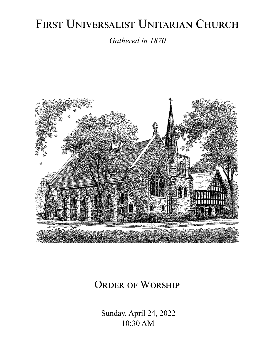# FIRST UNIVERSALIST UNITARIAN CHURCH

*Gathered in 1870*



# ORDER OF WORSHIP

 Sunday, April 24, 2022 10:30 AM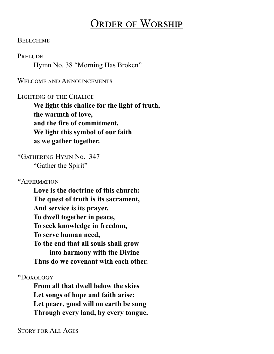# Order of Worship

#### **BELLCHIME**

#### **PRELUDE**

Hymn No. 38 "Morning Has Broken"

### WELCOME AND ANNOUNCEMENTS

#### Lighting of the Chalice

**We light this chalice for the light of truth, the warmth of love, and the fire of commitment. We light this symbol of our faith as we gather together.**

\*Gathering Hymn No. 347 "Gather the Spirit"

\*Affirmation

**Love is the doctrine of this church: The quest of truth is its sacrament, And service is its prayer. To dwell together in peace, To seek knowledge in freedom, To serve human need, To the end that all souls shall grow into harmony with the Divine— Thus do we covenant with each other.**

\*Doxology

**From all that dwell below the skies Let songs of hope and faith arise; Let peace, good will on earth be sung Through every land, by every tongue.**

Story for All Ages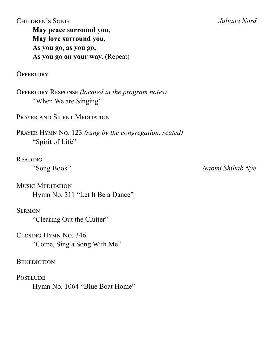Children's Song *Juliana Nord* **May peace surround you, May love surround you, As you go, as you go, As you go on your way.** (Repeat)

**OFFERTORY** 

Offertory Response *(located in the program notes)* "When We are Singing"

PRAYER AND SILENT MEDITATION

Prayer Hymn No. 123 *(sung by the congregation, seated)* "Spirit of Life"

# Reading

Music Meditation Hymn No. 311 "Let It Be a Dance"

# **SERMON**

"Clearing Out the Clutter"

Closing Hymn No. 346 "Come, Sing a Song With Me"

# **BENEDICTION**

**POSTLUDE** 

Hymn No. 1064 "Blue Boat Home"

"Song Book" *Naomi Shihab Nye*